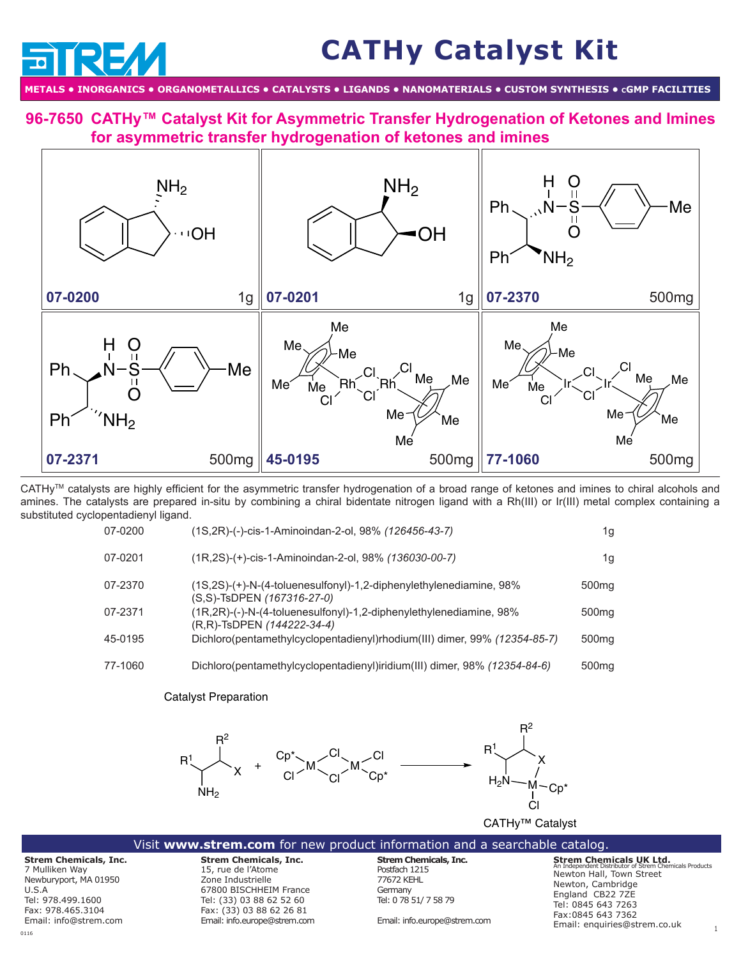# **CATHy Catalyst Kit**

**METALS • INORGANICS • ORGANOMETALLICS • CATALYSTS • LIGANDS • NANOMATERIALS • CUSTOM SYNTHESIS • cGMP FACILITIES**

**[96-76](http://www.strem.com/catalog/v/96-7650/)50 CATHy™ Catalyst Kit for Asymmetric Transfer Hydrogenation of Ketones and Imines for asymmetric transfer hydrogenation of ketones and imines**



CATHyTM catalysts are highly efficient for the asymmetric transfer hydrogenation of a broad range of ketones and imines to chiral alcohols and amines. The catalysts are prepared in-situ by combining a chiral bidentate nitrogen ligand with a Rh(III) or Ir(III) metal complex containing a substituted cyclopentadienyl ligand.

| 07-0200 | (1S, 2R)-(-)-cis-1-Aminoindan-2-ol, 98% (126456-43-7)                                                       | 1g                |
|---------|-------------------------------------------------------------------------------------------------------------|-------------------|
| 07-0201 | (1R,2S)-(+)-cis-1-Aminoindan-2-ol, 98% (136030-00-7)                                                        | 1g                |
| 07-2370 | $(1S.2S)-(+)$ -N- $(4$ -toluenesulfonyl $)$ -1.2-diphenylethylenediamine, 98%<br>(S,S)-TsDPEN (167316-27-0) | 500 <sub>mg</sub> |
| 07-2371 | $(1R, 2R)$ -(-)-N- $(4$ -toluenesulfonyl)-1,2-diphenylethylenediamine, 98%<br>(R,R)-TsDPEN (144222-34-4)    | 500 <sub>mg</sub> |
| 45-0195 | Dichloro(pentamethylcyclopentadienyl)rhodium(III) dimer, 99% (12354-85-7)                                   | 500 <sub>mq</sub> |
| 77-1060 | Dichloro(pentamethylcyclopentadienyl)iridium(III) dimer, 98% (12354-84-6)                                   | 500 <sub>mg</sub> |

## Catalyst Preparation



#### Visit **www.strem.com** for new product information and a searchable catalog.

**Strem Chemicals, Inc.** 7 Mulliken Way Newburyport, MA 01950 U.S.A Tel: 978.499.1600 Fax: 978.465.3104 Email: info@strem.com

**Strem Chemicals, Inc.**  15, rue de l'Atome Zone Industrielle 67800 BISCHHEIM France Tel: (33) 03 88 62 52 60 Fax: (33) 03 88 62 26 81

Email: info.europe@strem.com

**Strem Chemicals, Inc.** Postfach 1215 77672 KEHL **Germany** Tel: 0 78 51/ 7 58 79

Email: info.europe@strem.com

**Strem Chemicals UK Ltd.** An Independent Distributor of Strem Chemicals Products Newton Hall, Town Street Newton, Cambridge England CB22 7ZE Tel: 0845 643 7263 Fax:0845 643 7362 Email: enquiries@strem.co.uk 1